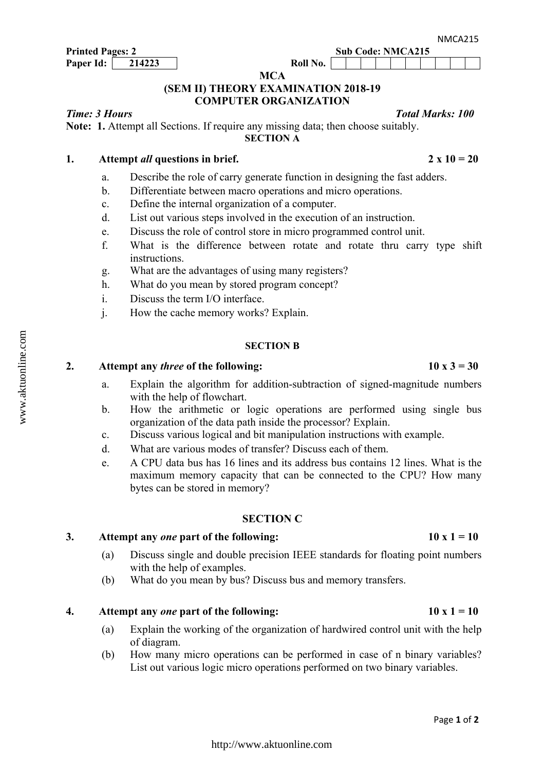**MCA**

## **(SEM II) THEORY EXAMINATION 2018-19 COMPUTER ORGANIZATION**

#### *Time: 3 Hours Total Marks: 100*

**Note: 1.** Attempt all Sections. If require any missing data; then choose suitably. **SECTION A**

#### 1. Attempt *all* questions in brief. 2 x  $10 = 20$

- a. Describe the role of carry generate function in designing the fast adders.
- b. Differentiate between macro operations and micro operations.
- c. Define the internal organization of a computer.
- d. List out various steps involved in the execution of an instruction.
- e. Discuss the role of control store in micro programmed control unit.
- f. What is the difference between rotate and rotate thru carry type shift instructions.
- g. What are the advantages of using many registers?
- h. What do you mean by stored program concept?
- i. Discuss the term I/O interface.
- j. How the cache memory works? Explain.

#### **SECTION B**

#### 2. Attempt any *three* of the following:  $10 \times 3 = 30$

- a. Explain the algorithm for addition-subtraction of signed-magnitude numbers with the help of flowchart.
- b. How the arithmetic or logic operations are performed using single bus organization of the data path inside the processor? Explain.
- c. Discuss various logical and bit manipulation instructions with example.
- d. What are various modes of transfer? Discuss each of them.
- e. A CPU data bus has 16 lines and its address bus contains 12 lines. What is the maximum memory capacity that can be connected to the CPU? How many bytes can be stored in memory?

#### **SECTION C**

#### 3. Attempt any *one* part of the following:  $10x1 = 10$

- (a) Discuss single and double precision IEEE standards for floating point numbers with the help of examples.
- (b) What do you mean by bus? Discuss bus and memory transfers.

#### **4.** Attempt any *one* part of the following:  $10x1 = 10$

- (a) Explain the working of the organization of hardwired control unit with the help of diagram.
- (b) How many micro operations can be performed in case of n binary variables? List out various logic micro operations performed on two binary variables.